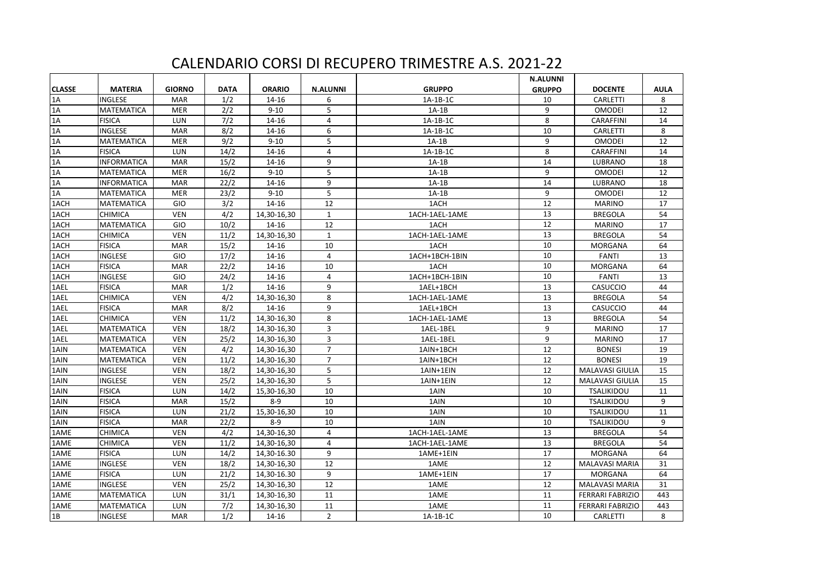## CALENDARIO CORSI DI RECUPERO TRIMESTRE A.S. 2021-22

|               |                    |               |             |               |                 |                | <b>N.ALUNNI</b> |                         |             |
|---------------|--------------------|---------------|-------------|---------------|-----------------|----------------|-----------------|-------------------------|-------------|
| <b>CLASSE</b> | <b>MATERIA</b>     | <b>GIORNO</b> | <b>DATA</b> | <b>ORARIO</b> | <b>N.ALUNNI</b> | <b>GRUPPO</b>  | <b>GRUPPO</b>   | <b>DOCENTE</b>          | <b>AULA</b> |
| 1A            | <b>INGLESE</b>     | <b>MAR</b>    | 1/2         | 14-16         | 6               | 1A-1B-1C       | 10              | <b>CARLETTI</b>         | 8           |
| 1A            | MATEMATICA         | <b>MER</b>    | 2/2         | $9 - 10$      | 5               | $1A-1B$        | 9               | <b>OMODEI</b>           | 12          |
| 1A            | <b>FISICA</b>      | <b>LUN</b>    | 7/2         | 14-16         | $\overline{4}$  | 1A-1B-1C       | 8               | CARAFFINI               | 14          |
| 1A            | <b>INGLESE</b>     | <b>MAR</b>    | 8/2         | 14-16         | 6               | 1A-1B-1C       | 10              | <b>CARLETTI</b>         | 8           |
| 1A            | MATEMATICA         | <b>MER</b>    | 9/2         | $9 - 10$      | 5               | $1A-1B$        | 9               | <b>OMODEI</b>           | 12          |
| 1A            | <b>FISICA</b>      | <b>LUN</b>    | 14/2        | 14-16         | $\overline{4}$  | 1A-1B-1C       | 8               | CARAFFINI               | 14          |
| 1A            | <b>INFORMATICA</b> | <b>MAR</b>    | 15/2        | 14-16         | 9               | $1A-1B$        | 14              | <b>LUBRANO</b>          | 18          |
| 1A            | <b>MATEMATICA</b>  | <b>MER</b>    | 16/2        | $9 - 10$      | 5               | $1A-1B$        | 9               | <b>OMODEI</b>           | 12          |
| 1A            | <b>INFORMATICA</b> | <b>MAR</b>    | 22/2        | 14-16         | 9               | $1A-1B$        | 14              | <b>LUBRANO</b>          | 18          |
| 1A            | <b>MATEMATICA</b>  | <b>MER</b>    | 23/2        | $9 - 10$      | 5               | $1A-1B$        | 9               | <b>OMODEI</b>           | 12          |
| 1ACH          | <b>MATEMATICA</b>  | GIO           | 3/2         | 14-16         | 12              | 1ACH           | 12              | <b>MARINO</b>           | 17          |
| 1ACH          | <b>CHIMICA</b>     | <b>VEN</b>    | 4/2         | 14,30-16,30   | $\mathbf{1}$    | 1ACH-1AEL-1AME | 13              | <b>BREGOLA</b>          | 54          |
| 1ACH          | <b>MATEMATICA</b>  | <b>GIO</b>    | 10/2        | 14-16         | 12              | 1ACH           | 12              | <b>MARINO</b>           | 17          |
| 1ACH          | <b>CHIMICA</b>     | <b>VEN</b>    | 11/2        | 14,30-16,30   | $\mathbf{1}$    | 1ACH-1AEL-1AME | 13              | <b>BREGOLA</b>          | 54          |
| 1ACH          | <b>FISICA</b>      | <b>MAR</b>    | 15/2        | 14-16         | 10              | 1ACH           | 10              | <b>MORGANA</b>          | 64          |
| 1ACH          | <b>INGLESE</b>     | GIO           | 17/2        | 14-16         | 4               | 1ACH+1BCH-1BIN | 10              | <b>FANTI</b>            | 13          |
| 1ACH          | <b>FISICA</b>      | <b>MAR</b>    | 22/2        | $14 - 16$     | 10              | 1ACH           | 10              | <b>MORGANA</b>          | 64          |
| 1ACH          | INGLESE            | GIO           | 24/2        | 14-16         | $\overline{4}$  | 1ACH+1BCH-1BIN | 10              | <b>FANTI</b>            | 13          |
| 1AEL          | <b>FISICA</b>      | <b>MAR</b>    | 1/2         | $14 - 16$     | 9               | 1AEL+1BCH      | 13              | <b>CASUCCIO</b>         | 44          |
| 1AEL          | <b>CHIMICA</b>     | <b>VEN</b>    | 4/2         | 14,30-16,30   | 8               | 1ACH-1AEL-1AME | 13              | <b>BREGOLA</b>          | 54          |
| 1AEL          | <b>FISICA</b>      | <b>MAR</b>    | 8/2         | 14-16         | 9               | 1AEL+1BCH      | 13              | CASUCCIO                | 44          |
| 1AEL          | <b>CHIMICA</b>     | <b>VEN</b>    | 11/2        | 14,30-16,30   | 8               | 1ACH-1AEL-1AME | 13              | <b>BREGOLA</b>          | 54          |
| 1AEL          | <b>MATEMATICA</b>  | <b>VEN</b>    | 18/2        | 14,30-16,30   | 3               | 1AEL-1BEL      | 9               | <b>MARINO</b>           | 17          |
| 1AEL          | <b>MATEMATICA</b>  | <b>VEN</b>    | 25/2        | 14,30-16,30   | 3               | 1AEL-1BEL      | 9               | <b>MARINO</b>           | 17          |
| 1AIN          | <b>MATEMATICA</b>  | <b>VEN</b>    | 4/2         | 14,30-16,30   | $\overline{7}$  | 1AIN+1BCH      | 12              | <b>BONESI</b>           | 19          |
| 1AIN          | <b>MATEMATICA</b>  | <b>VEN</b>    | 11/2        | 14,30-16,30   | $\overline{7}$  | 1AIN+1BCH      | 12              | <b>BONESI</b>           | 19          |
| 1AIN          | INGLESE            | <b>VEN</b>    | 18/2        | 14,30-16,30   | 5               | 1AIN+1EIN      | 12              | <b>MALAVASI GIULIA</b>  | 15          |
| 1AIN          | INGLESE            | <b>VEN</b>    | 25/2        | 14,30-16,30   | 5               | 1AIN+1EIN      | 12              | MALAVASI GIULIA         | 15          |
| 1AIN          | <b>FISICA</b>      | <b>LUN</b>    | 14/2        | 15,30-16,30   | 10              | 1AIN           | 10              | <b>TSALIKIDOU</b>       | 11          |
| 1AIN          | <b>FISICA</b>      | <b>MAR</b>    | 15/2        | $8 - 9$       | 10              | 1AIN           | 10              | <b>TSALIKIDOU</b>       | 9           |
| 1AIN          | <b>FISICA</b>      | <b>LUN</b>    | 21/2        | 15,30-16,30   | 10              | 1AIN           | 10              | <b>TSALIKIDOU</b>       | 11          |
| 1AIN          | <b>FISICA</b>      | <b>MAR</b>    | 22/2        | $8-9$         | 10              | 1AIN           | 10              | <b>TSALIKIDOU</b>       | 9           |
| 1AME          | CHIMICA            | <b>VEN</b>    | 4/2         | 14,30-16,30   | 4               | 1ACH-1AEL-1AME | 13              | <b>BREGOLA</b>          | 54          |
| 1AME          | <b>CHIMICA</b>     | <b>VEN</b>    | 11/2        | 14,30-16,30   | $\overline{4}$  | 1ACH-1AEL-1AME | 13              | <b>BREGOLA</b>          | 54          |
| 1AME          | <b>FISICA</b>      | <b>LUN</b>    | 14/2        | 14,30-16.30   | 9               | 1AME+1EIN      | 17              | MORGANA                 | 64          |
| 1AME          | INGLESE            | <b>VEN</b>    | 18/2        | 14,30-16,30   | 12              | 1AME           | 12              | MALAVASI MARIA          | 31          |
| 1AME          | <b>FISICA</b>      | LUN           | 21/2        | 14,30-16.30   | 9               | 1AME+1EIN      | 17              | <b>MORGANA</b>          | 64          |
| 1AME          | <b>INGLESE</b>     | <b>VEN</b>    | 25/2        | 14,30-16,30   | 12              | 1AME           | 12              | <b>MALAVASI MARIA</b>   | 31          |
| 1AME          | <b>MATEMATICA</b>  | <b>LUN</b>    | 31/1        | 14,30-16,30   | 11              | 1AME           | 11              | <b>FERRARI FABRIZIO</b> | 443         |
| 1AME          | <b>MATEMATICA</b>  | <b>LUN</b>    | 7/2         | 14,30-16,30   | 11              | 1AME           | 11              | <b>FERRARI FABRIZIO</b> | 443         |
| 1B            | <b>INGLESE</b>     | <b>MAR</b>    | 1/2         | 14-16         | $\overline{2}$  | 1A-1B-1C       | 10              | <b>CARLETTI</b>         | 8           |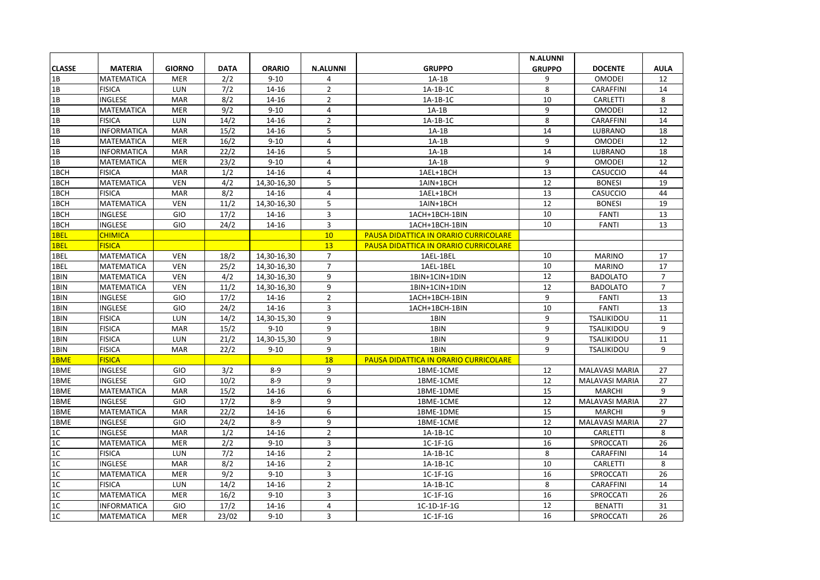|                |                    |               |             |               |                 |                                       | <b>N.ALUNNI</b> |                       |                |
|----------------|--------------------|---------------|-------------|---------------|-----------------|---------------------------------------|-----------------|-----------------------|----------------|
| <b>CLASSE</b>  | <b>MATERIA</b>     | <b>GIORNO</b> | <b>DATA</b> | <b>ORARIO</b> | <b>N.ALUNNI</b> | <b>GRUPPO</b>                         | <b>GRUPPO</b>   | <b>DOCENTE</b>        | <b>AULA</b>    |
| 1B             | MATEMATICA         | <b>MER</b>    | 2/2         | $9 - 10$      | 4               | $1A-1B$                               | 9               | <b>OMODEI</b>         | 12             |
| 1B             | <b>FISICA</b>      | LUN           | 7/2         | 14-16         | $\overline{2}$  | 1A-1B-1C                              | 8               | <b>CARAFFINI</b>      | 14             |
| 1B             | <b>INGLESE</b>     | <b>MAR</b>    | 8/2         | 14-16         | $\overline{2}$  | 1A-1B-1C                              | 10              | CARLETTI              | 8              |
| 1B             | <b>MATEMATICA</b>  | <b>MER</b>    | 9/2         | $9 - 10$      | 4               | $1A-1B$                               | 9               | <b>OMODEI</b>         | 12             |
| 1B             | <b>FISICA</b>      | <b>LUN</b>    | 14/2        | 14-16         | $\overline{2}$  | 1A-1B-1C                              | 8               | <b>CARAFFINI</b>      | 14             |
| 1B             | <b>INFORMATICA</b> | <b>MAR</b>    | 15/2        | 14-16         | 5               | $1A-1B$                               | 14              | LUBRANO               | 18             |
| 1B             | MATEMATICA         | <b>MER</b>    | 16/2        | $9 - 10$      | 4               | $1A-1B$                               | 9               | <b>OMODEI</b>         | 12             |
| 1B             | <b>INFORMATICA</b> | <b>MAR</b>    | 22/2        | 14-16         | 5               | $1A-1B$                               | 14              | LUBRANO               | 18             |
| 1B             | MATEMATICA         | <b>MER</b>    | 23/2        | $9 - 10$      | 4               | $1A-1B$                               | 9               | <b>OMODEI</b>         | 12             |
| 1BCH           | <b>FISICA</b>      | <b>MAR</b>    | 1/2         | 14-16         | $\overline{4}$  | 1AEL+1BCH                             | 13              | CASUCCIO              | 44             |
| 1BCH           | MATEMATICA         | <b>VEN</b>    | 4/2         | 14,30-16,30   | 5               | 1AIN+1BCH                             | 12              | <b>BONESI</b>         | 19             |
| 1BCH           | <b>FISICA</b>      | MAR           | 8/2         | 14-16         | $\pmb{4}$       | 1AEL+1BCH                             | 13              | CASUCCIO              | 44             |
| 1BCH           | <b>MATEMATICA</b>  | <b>VEN</b>    | 11/2        | 14.30-16.30   | 5               | 1AIN+1BCH                             | 12              | <b>BONESI</b>         | 19             |
| 1BCH           | <b>INGLESE</b>     | GIO           | 17/2        | 14-16         | 3               | 1ACH+1BCH-1BIN                        | 10              | <b>FANTI</b>          | 13             |
| 1BCH           | <b>INGLESE</b>     | GIO           | 24/2        | 14-16         | 3               | 1ACH+1BCH-1BIN                        | 10              | <b>FANTI</b>          | 13             |
| 1BEL           | <b>CHIMICA</b>     |               |             |               | 10              | PAUSA DIDATTICA IN ORARIO CURRICOLARE |                 |                       |                |
| 1BEL           | <b>FISICA</b>      |               |             |               | 13              | PAUSA DIDATTICA IN ORARIO CURRICOLARE |                 |                       |                |
| 1BEL           | <b>MATEMATICA</b>  | <b>VEN</b>    | 18/2        | 14,30-16,30   | $\overline{7}$  | 1AEL-1BEL                             | 10              | <b>MARINO</b>         | 17             |
| 1BEL           | <b>MATEMATICA</b>  | <b>VEN</b>    | 25/2        | 14,30-16,30   | $\overline{7}$  | 1AEL-1BEL                             | 10              | <b>MARINO</b>         | 17             |
| 1BIN           | MATEMATICA         | <b>VEN</b>    | 4/2         | 14,30-16,30   | 9               | 1BIN+1CIN+1DIN                        | 12              | <b>BADOLATO</b>       | $\overline{7}$ |
| 1BIN           | <b>MATEMATICA</b>  | <b>VEN</b>    | 11/2        | 14,30-16,30   | 9               | 1BIN+1CIN+1DIN                        | 12              | <b>BADOLATO</b>       | $\overline{7}$ |
| 1BIN           | <b>INGLESE</b>     | GIO           | 17/2        | 14-16         | $\overline{2}$  | 1ACH+1BCH-1BIN                        | 9               | <b>FANTI</b>          | 13             |
| 1BIN           | <b>INGLESE</b>     | GIO           | 24/2        | 14-16         | 3               | 1ACH+1BCH-1BIN                        | 10              | <b>FANTI</b>          | 13             |
| 1BIN           | <b>FISICA</b>      | LUN           | 14/2        | 14,30-15,30   | 9               | 1BIN                                  | 9               | <b>TSALIKIDOU</b>     | 11             |
| 1BIN           | <b>FISICA</b>      | <b>MAR</b>    | 15/2        | $9 - 10$      | 9               | 1BIN                                  | 9               | <b>TSALIKIDOU</b>     | 9              |
| 1BIN           | <b>FISICA</b>      | LUN           | 21/2        | 14,30-15,30   | 9               | 1BIN                                  | 9               | <b>TSALIKIDOU</b>     | 11             |
| 1BIN           | <b>FISICA</b>      | <b>MAR</b>    | 22/2        | $9 - 10$      | 9               | 1BIN                                  | 9               | <b>TSALIKIDOU</b>     | 9              |
| 1BME           | <b>FISICA</b>      |               |             |               | 18              | PAUSA DIDATTICA IN ORARIO CURRICOLARE |                 |                       |                |
| 1BME           | <b>INGLESE</b>     | GIO           | 3/2         | $8 - 9$       | 9               | 1BME-1CME                             | 12              | <b>MALAVASI MARIA</b> | 27             |
| 1BME           | <b>INGLESE</b>     | GIO           | 10/2        | $8-9$         | 9               | 1BME-1CME                             | 12              | <b>MALAVASI MARIA</b> | 27             |
| 1BME           | MATEMATICA         | <b>MAR</b>    | 15/2        | 14-16         | 6               | 1BME-1DME                             | 15              | <b>MARCHI</b>         | 9              |
| 1BME           | <b>INGLESE</b>     | GIO           | 17/2        | $8-9$         | 9               | 1BME-1CME                             | 12              | <b>MALAVASI MARIA</b> | 27             |
| 1BME           | <b>MATEMATICA</b>  | <b>MAR</b>    | 22/2        | 14-16         | 6               | 1BME-1DME                             | 15              | <b>MARCHI</b>         | 9              |
| 1BME           | <b>INGLESE</b>     | GIO           | 24/2        | $8 - 9$       | 9               | 1BME-1CME                             | 12              | <b>MALAVASI MARIA</b> | 27             |
| 1 <sup>C</sup> | <b>INGLESE</b>     | <b>MAR</b>    | 1/2         | 14-16         | $\overline{2}$  | 1A-1B-1C                              | 10              | <b>CARLETTI</b>       | 8              |
| 1C             | <b>MATEMATICA</b>  | <b>MER</b>    | 2/2         | $9 - 10$      | 3               | $1C-1F-1G$                            | 16              | SPROCCATI             | 26             |
| 1C             | <b>FISICA</b>      | <b>LUN</b>    | 7/2         | 14-16         | $\overline{2}$  | 1A-1B-1C                              | 8               | CARAFFINI             | 14             |
| 1C             | <b>INGLESE</b>     | <b>MAR</b>    | 8/2         | 14-16         | $\overline{2}$  | 1A-1B-1C                              | 10              | <b>CARLETTI</b>       | 8              |
| 1C             | <b>MATEMATICA</b>  | <b>MER</b>    | 9/2         | $9 - 10$      | 3               | $1C-1F-1G$                            | 16              | SPROCCATI             | 26             |
| 1C             | <b>FISICA</b>      | LUN           | 14/2        | 14-16         | $\overline{2}$  | 1A-1B-1C                              | 8               | CARAFFINI             | 14             |
| 1 <sup>C</sup> | <b>MATEMATICA</b>  | <b>MER</b>    | 16/2        | $9 - 10$      | 3               | 1C-1F-1G                              | 16              | SPROCCATI             | 26             |
| $1C$           | <b>INFORMATICA</b> | GIO           | 17/2        | 14-16         | 4               | 1C-1D-1F-1G                           | 12              | <b>BENATTI</b>        | 31             |
| 1C             | <b>MATEMATICA</b>  | <b>MER</b>    | 23/02       | $9 - 10$      | 3               | 1C-1F-1G                              | 16              | SPROCCATI             | 26             |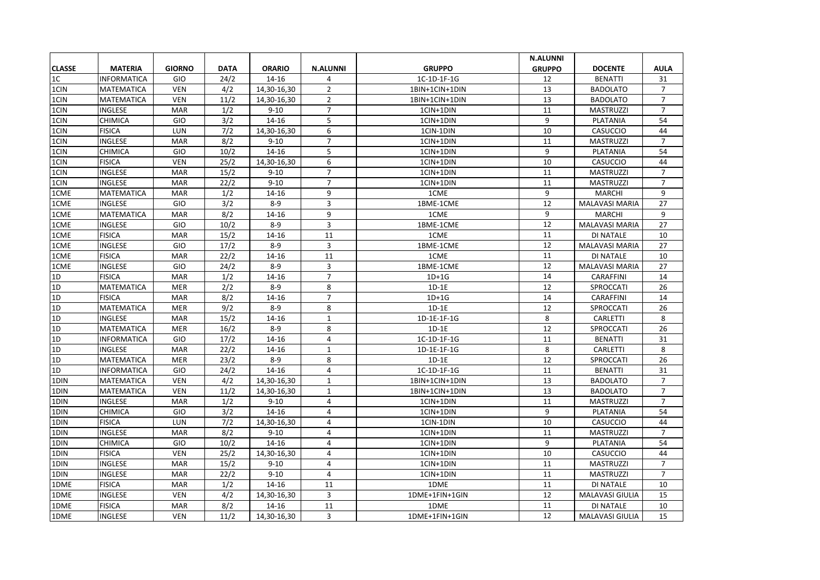|                |                    |               |             |               |                 |                | <b>N.ALUNNI</b> |                        |                |
|----------------|--------------------|---------------|-------------|---------------|-----------------|----------------|-----------------|------------------------|----------------|
| <b>CLASSE</b>  | <b>MATERIA</b>     | <b>GIORNO</b> | <b>DATA</b> | <b>ORARIO</b> | <b>N.ALUNNI</b> | <b>GRUPPO</b>  | <b>GRUPPO</b>   | <b>DOCENTE</b>         | <b>AULA</b>    |
| 1 <sup>C</sup> | INFORMATICA        | GIO           | 24/2        | 14-16         | 4               | 1C-1D-1F-1G    | 12              | <b>BENATTI</b>         | 31             |
| 1CIN           | <b>MATEMATICA</b>  | <b>VEN</b>    | 4/2         | 14,30-16,30   | $\overline{2}$  | 1BIN+1CIN+1DIN | 13              | <b>BADOLATO</b>        | $\overline{7}$ |
| 1CIN           | <b>MATEMATICA</b>  | <b>VEN</b>    | 11/2        | 14,30-16,30   | $\overline{2}$  | 1BIN+1CIN+1DIN | 13              | <b>BADOLATO</b>        | $\overline{7}$ |
| 1CIN           | INGLESE            | <b>MAR</b>    | 1/2         | $9 - 10$      | $\overline{7}$  | 1CIN+1DIN      | 11              | MASTRUZZI              | $\overline{7}$ |
| 1CIN           | <b>CHIMICA</b>     | GIO           | 3/2         | 14-16         | 5               | 1CIN+1DIN      | 9               | PLATANIA               | 54             |
| 1CIN           | <b>FISICA</b>      | LUN           | 7/2         | 14,30-16,30   | 6               | 1CIN-1DIN      | 10              | CASUCCIO               | 44             |
| 1CIN           | INGLESE            | <b>MAR</b>    | 8/2         | $9 - 10$      | 7               | 1CIN+1DIN      | 11              | <b>MASTRUZZI</b>       | $\overline{7}$ |
| 1CIN           | <b>CHIMICA</b>     | GIO           | 10/2        | 14-16         | 5               | 1CIN+1DIN      | 9               | PLATANIA               | 54             |
| 1CIN           | <b>FISICA</b>      | <b>VEN</b>    | 25/2        | 14,30-16,30   | 6               | 1CIN+1DIN      | 10              | CASUCCIO               | 44             |
| 1CIN           | <b>INGLESE</b>     | <b>MAR</b>    | 15/2        | $9 - 10$      | $\overline{7}$  | 1CIN+1DIN      | 11              | <b>MASTRUZZI</b>       | $\overline{7}$ |
| 1CIN           | INGLESE            | <b>MAR</b>    | 22/2        | $9 - 10$      | $\overline{7}$  | 1CIN+1DIN      | 11              | <b>MASTRUZZI</b>       | $\overline{7}$ |
| 1CME           | <b>MATEMATICA</b>  | <b>MAR</b>    | 1/2         | 14-16         | 9               | 1CME           | 9               | <b>MARCHI</b>          | 9              |
| 1CME           | <b>INGLESE</b>     | GIO           | 3/2         | $8 - 9$       | 3               | 1BME-1CME      | 12              | <b>MALAVASI MARIA</b>  | 27             |
| 1CME           | <b>MATEMATICA</b>  | <b>MAR</b>    | 8/2         | 14-16         | 9               | 1CME           | 9               | <b>MARCHI</b>          | 9              |
| 1CME           | <b>INGLESE</b>     | GIO           | 10/2        | $8 - 9$       | 3               | 1BME-1CME      | 12              | <b>MALAVASI MARIA</b>  | 27             |
| 1CME           | <b>FISICA</b>      | <b>MAR</b>    | 15/2        | 14-16         | 11              | 1CME           | 11              | DI NATALE              | 10             |
| 1CME           | <b>INGLESE</b>     | GIO           | 17/2        | $8 - 9$       | 3               | 1BME-1CME      | 12              | <b>MALAVASI MARIA</b>  | 27             |
| 1CME           | <b>FISICA</b>      | MAR           | 22/2        | 14-16         | 11              | 1CME           | 11              | <b>DI NATALE</b>       | 10             |
| 1CME           | INGLESE            | GIO           | 24/2        | $8-9$         | 3               | 1BME-1CME      | 12              | <b>MALAVASI MARIA</b>  | 27             |
| 1D             | <b>FISICA</b>      | <b>MAR</b>    | 1/2         | 14-16         | $\overline{7}$  | $1D+1G$        | 14              | CARAFFINI              | 14             |
| 1D             | <b>MATEMATICA</b>  | <b>MER</b>    | 2/2         | $8 - 9$       | 8               | $1D-1E$        | 12              | SPROCCATI              | 26             |
| 1D             | <b>FISICA</b>      | <b>MAR</b>    | 8/2         | 14-16         | $\overline{7}$  | $1D+1G$        | 14              | CARAFFINI              | 14             |
| 1D             | <b>MATEMATICA</b>  | <b>MER</b>    | 9/2         | $8 - 9$       | 8               | $1D-1E$        | 12              | SPROCCATI              | 26             |
| 1D             | <b>INGLESE</b>     | <b>MAR</b>    | 15/2        | 14-16         | $\mathbf 1$     | 1D-1E-1F-1G    | 8               | CARLETTI               | 8              |
| 1D             | MATEMATICA         | <b>MER</b>    | 16/2        | $8-9$         | 8               | $1D-1E$        | 12              | SPROCCATI              | 26             |
| 1D             | <b>INFORMATICA</b> | GIO           | 17/2        | 14-16         | 4               | 1C-1D-1F-1G    | 11              | <b>BENATTI</b>         | 31             |
| 1D             | <b>INGLESE</b>     | <b>MAR</b>    | 22/2        | 14-16         | $\mathbf{1}$    | 1D-1E-1F-1G    | 8               | CARLETTI               | 8              |
| 1D             | MATEMATICA         | <b>MER</b>    | 23/2        | $8-9$         | 8               | $1D-1E$        | 12              | SPROCCATI              | 26             |
| 1D             | <b>INFORMATICA</b> | GIO           | 24/2        | 14-16         | 4               | 1C-1D-1F-1G    | 11              | <b>BENATTI</b>         | 31             |
| 1DIN           | <b>MATEMATICA</b>  | <b>VEN</b>    | 4/2         | 14,30-16,30   | $\mathbf{1}$    | 1BIN+1CIN+1DIN | 13              | <b>BADOLATO</b>        | $\overline{7}$ |
| 1DIN           | MATEMATICA         | <b>VEN</b>    | 11/2        | 14,30-16,30   | $\mathbf{1}$    | 1BIN+1CIN+1DIN | 13              | <b>BADOLATO</b>        | $\overline{7}$ |
| 1DIN           | <b>INGLESE</b>     | <b>MAR</b>    | 1/2         | $9 - 10$      | $\overline{4}$  | 1CIN+1DIN      | 11              | <b>MASTRUZZI</b>       | $\overline{7}$ |
| 1DIN           | <b>CHIMICA</b>     | GIO           | 3/2         | 14-16         | 4               | 1CIN+1DIN      | 9               | PLATANIA               | 54             |
| 1DIN           | <b>FISICA</b>      | LUN           | 7/2         | 14,30-16,30   | 4               | 1CIN-1DIN      | 10              | CASUCCIO               | 44             |
| 1DIN           | <b>INGLESE</b>     | <b>MAR</b>    | 8/2         | $9 - 10$      | $\overline{4}$  | 1CIN+1DIN      | 11              | <b>MASTRUZZI</b>       | $\overline{7}$ |
| 1DIN           | <b>CHIMICA</b>     | GIO           | 10/2        | 14-16         | 4               | 1CIN+1DIN      | 9               | PLATANIA               | 54             |
| 1DIN           | <b>FISICA</b>      | <b>VEN</b>    | 25/2        | 14,30-16,30   | 4               | 1CIN+1DIN      | 10              | <b>CASUCCIO</b>        | 44             |
| 1DIN           | <b>INGLESE</b>     | <b>MAR</b>    | 15/2        | $9 - 10$      | 4               | 1CIN+1DIN      | 11              | <b>MASTRUZZI</b>       | $\overline{7}$ |
| 1DIN           | INGLESE            | <b>MAR</b>    | 22/2        | $9 - 10$      | 4               | 1CIN+1DIN      | 11              | <b>MASTRUZZI</b>       | $\overline{7}$ |
| 1DME           | <b>FISICA</b>      | MAR           | 1/2         | 14-16         | 11              | 1DME           | 11              | DI NATALE              | 10             |
| 1DME           | INGLESE            | <b>VEN</b>    | 4/2         | 14,30-16,30   | 3               | 1DME+1FIN+1GIN | 12              | <b>MALAVASI GIULIA</b> | 15             |
| 1DME           | <b>FISICA</b>      | <b>MAR</b>    | 8/2         | 14-16         | 11              | 1DME           | 11              | DI NATALE              | 10             |
| 1DME           | INGLESE            | <b>VEN</b>    | 11/2        | 14,30-16,30   | 3               | 1DME+1FIN+1GIN | 12              | <b>MALAVASI GIULIA</b> | 15             |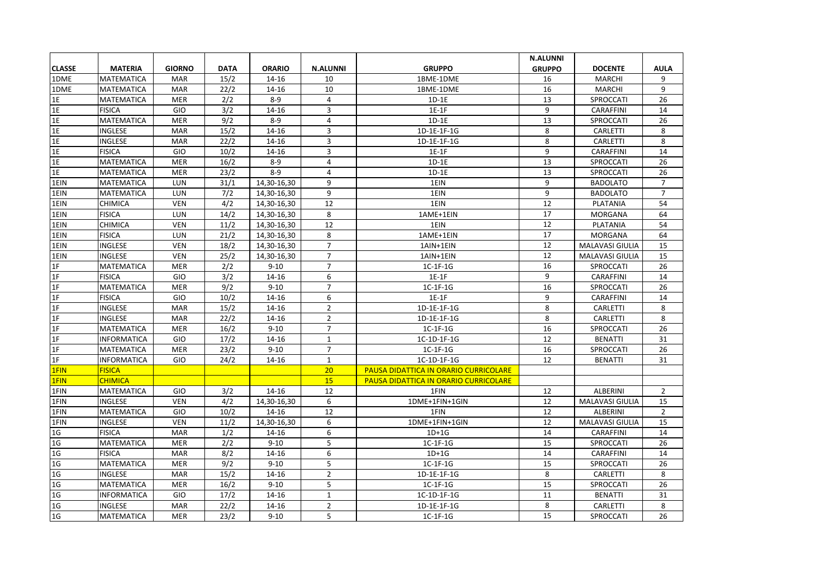|                 |                    |               |                  |               |                         |                                       | <b>N.ALUNNI</b> |                        |                |
|-----------------|--------------------|---------------|------------------|---------------|-------------------------|---------------------------------------|-----------------|------------------------|----------------|
| <b>CLASSE</b>   | <b>MATERIA</b>     | <b>GIORNO</b> | <b>DATA</b>      | <b>ORARIO</b> | <b>N.ALUNNI</b>         | <b>GRUPPO</b>                         | <b>GRUPPO</b>   | <b>DOCENTE</b>         | <b>AULA</b>    |
| 1DME            | MATEMATICA         | <b>MAR</b>    | 15/2             | 14-16         | 10                      | 1BME-1DME                             | 16              | <b>MARCHI</b>          | 9              |
| 1DME            | <b>MATEMATICA</b>  | <b>MAR</b>    | 22/2             | 14-16         | 10                      | 1BME-1DME                             | 16              | <b>MARCHI</b>          | 9              |
| 1E              | MATEMATICA         | <b>MER</b>    | 2/2              | $8-9$         | 4                       | $1D-1E$                               | 13              | SPROCCATI              | 26             |
| 1E              | <b>FISICA</b>      | GIO           | 3/2              | 14-16         | 3                       | $1E-1F$                               | 9               | <b>CARAFFINI</b>       | 14             |
| 1E              | <b>MATEMATICA</b>  | <b>MER</b>    | $\overline{9/2}$ | $8 - 9$       | $\overline{\mathbf{4}}$ | $1D-1E$                               | $\overline{13}$ | SPROCCATI              | 26             |
| 1E              | <b>INGLESE</b>     | MAR           | 15/2             | 14-16         | 3                       | 1D-1E-1F-1G                           | 8               | CARLETTI               | 8              |
| 1E              | INGLESE            | MAR           | 22/2             | 14-16         | 3                       | $1D-1E-1F-1G$                         | 8               | CARLETTI               | 8              |
| 1E              | <b>FISICA</b>      | GIO           | 10/2             | 14-16         | 3                       | $1E-1F$                               | 9               | <b>CARAFFINI</b>       | 14             |
| 1E              | MATEMATICA         | <b>MER</b>    | 16/2             | $8 - 9$       | $\overline{4}$          | $1D-1E$                               | 13              | SPROCCATI              | 26             |
| 1E              | <b>MATEMATICA</b>  | <b>MER</b>    | 23/2             | $8 - 9$       | $\overline{4}$          | $1D-1E$                               | 13              | SPROCCATI              | 26             |
| 1EIN            | <b>MATEMATICA</b>  | <b>LUN</b>    | 31/1             | 14,30-16,30   | 9                       | 1EIN                                  | 9               | <b>BADOLATO</b>        | $\overline{7}$ |
| 1EIN            | <b>MATEMATICA</b>  | LUN           | 7/2              | 14,30-16,30   | 9                       | 1EIN                                  | 9               | <b>BADOLATO</b>        | $\overline{7}$ |
| 1EIN            | CHIMICA            | <b>VEN</b>    | 4/2              | 14,30-16,30   | 12                      | 1EIN                                  | 12              | PLATANIA               | 54             |
| 1EIN            | <b>FISICA</b>      | LUN           | 14/2             | 14,30-16,30   | 8                       | 1AME+1EIN                             | 17              | <b>MORGANA</b>         | 64             |
| 1EIN            | CHIMICA            | <b>VEN</b>    | 11/2             | 14,30-16,30   | 12                      | 1EIN                                  | 12              | PLATANIA               | 54             |
| 1EIN            | <b>FISICA</b>      | LUN           | 21/2             | 14,30-16,30   | 8                       | 1AME+1EIN                             | 17              | <b>MORGANA</b>         | 64             |
| 1EIN            | <b>INGLESE</b>     | <b>VEN</b>    | 18/2             | 14,30-16,30   | $\overline{7}$          | 1AIN+1EIN                             | 12              | <b>MALAVASI GIULIA</b> | 15             |
| 1EIN            | INGLESE            | <b>VEN</b>    | 25/2             | 14,30-16,30   | $\overline{7}$          | 1AIN+1EIN                             | 12              | <b>MALAVASI GIULIA</b> | 15             |
| 1F              | MATEMATICA         | <b>MER</b>    | 2/2              | $9 - 10$      | $\overline{7}$          | 1C-1F-1G                              | 16              | SPROCCATI              | 26             |
| 1F              | <b>FISICA</b>      | GIO           | 3/2              | 14-16         | 6                       | $1E-1F$                               | 9               | CARAFFINI              | 14             |
| 1F              | MATEMATICA         | <b>MER</b>    | 9/2              | $9 - 10$      | $\overline{7}$          | 1C-1F-1G                              | 16              | SPROCCATI              | 26             |
| 1F              | <b>FISICA</b>      | GIO           | 10/2             | 14-16         | 6                       | $1E-1F$                               | 9               | CARAFFINI              | 14             |
| 1F              | <b>INGLESE</b>     | <b>MAR</b>    | 15/2             | 14-16         | $\overline{2}$          | 1D-1E-1F-1G                           | 8               | <b>CARLETTI</b>        | 8              |
| 1F              | INGLESE            | <b>MAR</b>    | 22/2             | 14-16         | $\overline{2}$          | 1D-1E-1F-1G                           | 8               | <b>CARLETTI</b>        | 8              |
| 1F              | MATEMATICA         | <b>MER</b>    | 16/2             | $9 - 10$      | $\overline{7}$          | 1C-1F-1G                              | 16              | SPROCCATI              | 26             |
| 1F              | <b>INFORMATICA</b> | GIO           | 17/2             | 14-16         | $\mathbf{1}$            | 1C-1D-1F-1G                           | 12              | <b>BENATTI</b>         | 31             |
| 1F              | <b>MATEMATICA</b>  | <b>MER</b>    | 23/2             | $9 - 10$      | $\overline{7}$          | 1C-1F-1G                              | 16              | SPROCCATI              | 26             |
| 1F              | <b>INFORMATICA</b> | GIO           | 24/2             | 14-16         | $\mathbf{1}$            | 1C-1D-1F-1G                           | 12              | <b>BENATTI</b>         | 31             |
| 1FIN            | <b>FISICA</b>      |               |                  |               | 20                      | PAUSA DIDATTICA IN ORARIO CURRICOLARE |                 |                        |                |
| 1FIN            | <b>CHIMICA</b>     |               |                  |               | 15                      | PAUSA DIDATTICA IN ORARIO CURRICOLARE |                 |                        |                |
| 1FIN            | MATEMATICA         | GIO           | 3/2              | 14-16         | 12                      | 1FIN                                  | 12              | <b>ALBERINI</b>        | $\overline{2}$ |
| 1FIN            | <b>INGLESE</b>     | <b>VEN</b>    | 4/2              | 14,30-16,30   | 6                       | 1DME+1FIN+1GIN                        | 12              | <b>MALAVASI GIULIA</b> | 15             |
| 1FIN            | MATEMATICA         | GIO           | 10/2             | 14-16         | 12                      | 1FIN                                  | 12              | <b>ALBERINI</b>        | $\overline{2}$ |
| 1FIN            | <b>INGLESE</b>     | <b>VEN</b>    | 11/2             | 14,30-16,30   | 6                       | 1DME+1FIN+1GIN                        | 12              | MALAVASI GIULIA        | 15             |
| $1\,\mathrm{G}$ | <b>FISICA</b>      | <b>MAR</b>    | 1/2              | 14-16         | 6                       | $1D+1G$                               | 14              | CARAFFINI              | 14             |
| 1 <sub>G</sub>  | <b>MATEMATICA</b>  | <b>MER</b>    | 2/2              | $9 - 10$      | 5                       | 1C-1F-1G                              | 15              | SPROCCATI              | 26             |
| 1 <sub>G</sub>  | <b>FISICA</b>      | <b>MAR</b>    | 8/2              | 14-16         | 6                       | $1D+1G$                               | 14              | CARAFFINI              | 14             |
| 1 <sub>G</sub>  | <b>MATEMATICA</b>  | <b>MER</b>    | 9/2              | $9 - 10$      | 5                       | 1C-1F-1G                              | 15              | SPROCCATI              | 26             |
| 1G              | <b>INGLESE</b>     | <b>MAR</b>    | 15/2             | 14-16         | $\overline{2}$          | 1D-1E-1F-1G                           | 8               | <b>CARLETTI</b>        | 8              |
| 1 <sub>G</sub>  | <b>MATEMATICA</b>  | <b>MER</b>    | 16/2             | $9 - 10$      | 5                       | 1C-1F-1G                              | 15              | SPROCCATI              | 26             |
| 1 <sub>G</sub>  | <b>INFORMATICA</b> | GIO           | 17/2             | 14-16         | $\mathbf{1}$            | 1C-1D-1F-1G                           | 11              | <b>BENATTI</b>         | 31             |
| 1 <sub>G</sub>  | <b>INGLESE</b>     | <b>MAR</b>    | 22/2             | 14-16         | $\overline{2}$          | 1D-1E-1F-1G                           | 8               | CARLETTI               | 8              |
| 1 <sub>G</sub>  | MATEMATICA         | <b>MER</b>    | 23/2             | $9 - 10$      | 5                       | 1C-1F-1G                              | 15              | SPROCCATI              | 26             |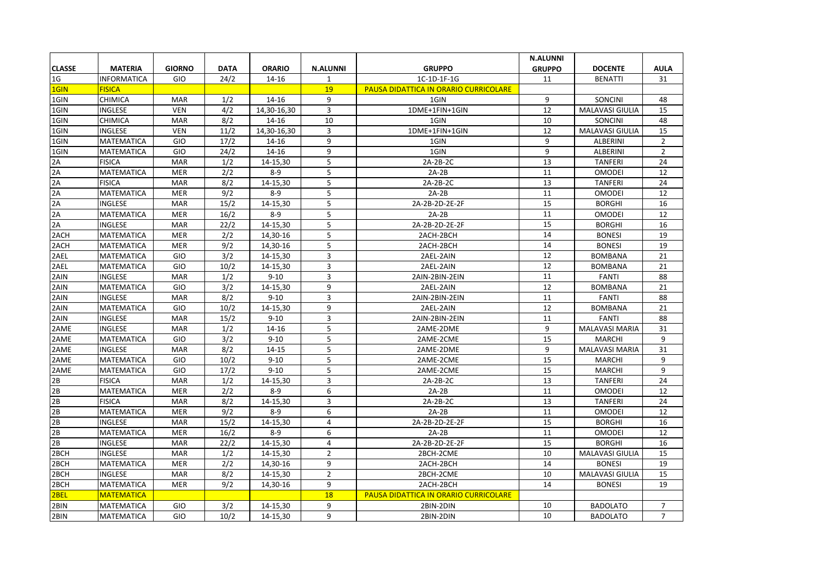|                |                    |               |             |               |                 |                                              | <b>N.ALUNNI</b> |                        |                |
|----------------|--------------------|---------------|-------------|---------------|-----------------|----------------------------------------------|-----------------|------------------------|----------------|
| <b>CLASSE</b>  | <b>MATERIA</b>     | <b>GIORNO</b> | <b>DATA</b> | <b>ORARIO</b> | <b>N.ALUNNI</b> | <b>GRUPPO</b>                                | <b>GRUPPO</b>   | <b>DOCENTE</b>         | <b>AULA</b>    |
| 1 <sub>G</sub> | <b>INFORMATICA</b> | <b>GIO</b>    | 24/2        | 14-16         | $\mathbf{1}$    | 1C-1D-1F-1G                                  | 11              | <b>BENATTI</b>         | 31             |
| 1GIN           | <b>FISICA</b>      |               |             |               | 19              | <b>PAUSA DIDATTICA IN ORARIO CURRICOLARE</b> |                 |                        |                |
| 1GIN           | <b>CHIMICA</b>     | <b>MAR</b>    | 1/2         | 14-16         | 9               | 1GIN                                         | 9               | SONCINI                | 48             |
| 1GIN           | INGLESE            | <b>VEN</b>    | 4/2         | 14,30-16,30   | 3               | 1DME+1FIN+1GIN                               | 12              | <b>MALAVASI GIULIA</b> | 15             |
| 1GIN           | <b>CHIMICA</b>     | <b>MAR</b>    | 8/2         | 14-16         | 10              | 1GIN                                         | 10              | SONCINI                | 48             |
| 1GIN           | INGLESE            | <b>VEN</b>    | 11/2        | 14,30-16,30   | 3               | 1DME+1FIN+1GIN                               | 12              | <b>MALAVASI GIULIA</b> | 15             |
| 1GIN           | MATEMATICA         | GIO           | 17/2        | 14-16         | 9               | 1GIN                                         | 9               | <b>ALBERINI</b>        | $\overline{2}$ |
| 1GIN           | MATEMATICA         | GIO           | 24/2        | 14-16         | 9               | 1GIN                                         | 9               | <b>ALBERINI</b>        | $\overline{2}$ |
| 2A             | <b>FISICA</b>      | <b>MAR</b>    | 1/2         | 14-15,30      | 5               | 2A-2B-2C                                     | 13              | <b>TANFERI</b>         | 24             |
| 2A             | <b>MATEMATICA</b>  | <b>MER</b>    | 2/2         | $8 - 9$       | 5               | $2A-2B$                                      | 11              | <b>OMODEI</b>          | 12             |
| 2A             | <b>FISICA</b>      | <b>MAR</b>    | 8/2         | 14-15,30      | 5               | 2A-2B-2C                                     | 13              | <b>TANFERI</b>         | 24             |
| 2A             | MATEMATICA         | <b>MER</b>    | 9/2         | $8-9$         | 5               | $2A-2B$                                      | 11              | <b>OMODEI</b>          | 12             |
| 2A             | INGLESE            | <b>MAR</b>    | 15/2        | 14-15,30      | 5               | 2A-2B-2D-2E-2F                               | 15              | <b>BORGHI</b>          | 16             |
| 2A             | MATEMATICA         | <b>MER</b>    | 16/2        | $8 - 9$       | 5               | $2A-2B$                                      | 11              | <b>OMODEI</b>          | 12             |
| 2A             | INGLESE            | <b>MAR</b>    | 22/2        | 14-15,30      | 5               | 2A-2B-2D-2E-2F                               | 15              | <b>BORGHI</b>          | 16             |
| 2ACH           | <b>MATEMATICA</b>  | <b>MER</b>    | 2/2         | 14,30-16      | 5               | 2ACH-2BCH                                    | 14              | <b>BONESI</b>          | 19             |
| 2ACH           | MATEMATICA         | <b>MER</b>    | 9/2         | 14,30-16      | 5               | 2ACH-2BCH                                    | 14              | <b>BONESI</b>          | 19             |
| 2AEL           | <b>MATEMATICA</b>  | GIO           | 3/2         | 14-15,30      | 3               | 2AEL-2AIN                                    | 12              | <b>BOMBANA</b>         | 21             |
| 2AEL           | MATEMATICA         | GIO           | 10/2        | 14-15,30      | 3               | 2AEL-2AIN                                    | 12              | <b>BOMBANA</b>         | 21             |
| 2AIN           | <b>INGLESE</b>     | <b>MAR</b>    | 1/2         | $9 - 10$      | $\overline{3}$  | 2AIN-2BIN-2EIN                               | 11              | <b>FANTI</b>           | 88             |
| 2AIN           | <b>MATEMATICA</b>  | GIO           | 3/2         | 14-15,30      | 9               | 2AEL-2AIN                                    | 12              | <b>BOMBANA</b>         | 21             |
| 2AIN           | <b>INGLESE</b>     | <b>MAR</b>    | 8/2         | $9 - 10$      | $\overline{3}$  | 2AIN-2BIN-2EIN                               | 11              | <b>FANTI</b>           | 88             |
| 2AIN           | <b>MATEMATICA</b>  | GIO           | 10/2        | 14-15.30      | 9               | 2AEL-2AIN                                    | 12              | <b>BOMBANA</b>         | 21             |
| 2AIN           | INGLESE            | <b>MAR</b>    | 15/2        | $9 - 10$      | 3               | 2AIN-2BIN-2EIN                               | 11              | <b>FANTI</b>           | 88             |
| 2AME           | <b>INGLESE</b>     | <b>MAR</b>    | 1/2         | 14-16         | 5               | 2AME-2DME                                    | 9               | <b>MALAVASI MARIA</b>  | 31             |
| 2AME           | <b>MATEMATICA</b>  | <b>GIO</b>    | 3/2         | $9 - 10$      | 5               | 2AME-2CME                                    | 15              | <b>MARCHI</b>          | 9              |
| 2AME           | <b>INGLESE</b>     | <b>MAR</b>    | 8/2         | 14-15         | 5               | 2AME-2DME                                    | 9               | <b>MALAVASI MARIA</b>  | 31             |
| 2AME           | <b>MATEMATICA</b>  | GIO           | 10/2        | $9 - 10$      | 5               | 2AME-2CME                                    | 15              | <b>MARCHI</b>          | 9              |
| 2AME           | <b>MATEMATICA</b>  | GIO           | 17/2        | $9 - 10$      | 5               | 2AME-2CME                                    | 15              | <b>MARCHI</b>          | 9              |
| 2B             | <b>FISICA</b>      | <b>MAR</b>    | 1/2         | 14-15,30      | 3               | 2A-2B-2C                                     | 13              | <b>TANFERI</b>         | 24             |
| 2B             | <b>MATEMATICA</b>  | <b>MER</b>    | 2/2         | $8 - 9$       | 6               | $2A-2B$                                      | 11              | <b>OMODEI</b>          | 12             |
| 2B             | <b>FISICA</b>      | <b>MAR</b>    | 8/2         | 14-15,30      | 3               | 2A-2B-2C                                     | 13              | <b>TANFERI</b>         | 24             |
| 2B             | <b>MATEMATICA</b>  | <b>MER</b>    | 9/2         | $8-9$         | 6               | $2A-2B$                                      | 11              | <b>OMODEI</b>          | 12             |
| 2B             | <b>INGLESE</b>     | <b>MAR</b>    | 15/2        | 14-15,30      | 4               | 2A-2B-2D-2E-2F                               | 15              | <b>BORGHI</b>          | 16             |
| 2B             | <b>MATEMATICA</b>  | <b>MER</b>    | 16/2        | $8-9$         | 6               | $2A-2B$                                      | 11              | <b>OMODEI</b>          | 12             |
| 2B             | INGLESE            | MAR           | 22/2        | 14-15,30      | 4               | 2A-2B-2D-2E-2F                               | 15              | <b>BORGHI</b>          | 16             |
| 2BCH           | <b>INGLESE</b>     | <b>MAR</b>    | 1/2         | 14-15,30      | $\overline{2}$  | 2BCH-2CME                                    | 10              | <b>MALAVASI GIULIA</b> | 15             |
| 2BCH           | <b>MATEMATICA</b>  | MER           | 2/2         | 14,30-16      | 9               | 2ACH-2BCH                                    | 14              | <b>BONESI</b>          | 19             |
| 2BCH           | <b>INGLESE</b>     | <b>MAR</b>    | 8/2         | 14-15,30      | $\overline{2}$  | 2BCH-2CME                                    | 10              | <b>MALAVASI GIULIA</b> | 15             |
| 2BCH           | MATEMATICA         | <b>MER</b>    | 9/2         | 14,30-16      | 9               | 2ACH-2BCH                                    | 14              | <b>BONESI</b>          | 19             |
| 2BEL           | <b>MATEMATICA</b>  |               |             |               | 18              | <b>PAUSA DIDATTICA IN ORARIO CURRICOLARE</b> |                 |                        |                |
| 2BIN           | MATEMATICA         | GIO           | 3/2         | 14-15,30      | 9               | 2BIN-2DIN                                    | 10              | <b>BADOLATO</b>        | $\overline{7}$ |
| 2BIN           | MATEMATICA         | GIO           | 10/2        | 14-15,30      | 9               | 2BIN-2DIN                                    | 10              | <b>BADOLATO</b>        | $\overline{7}$ |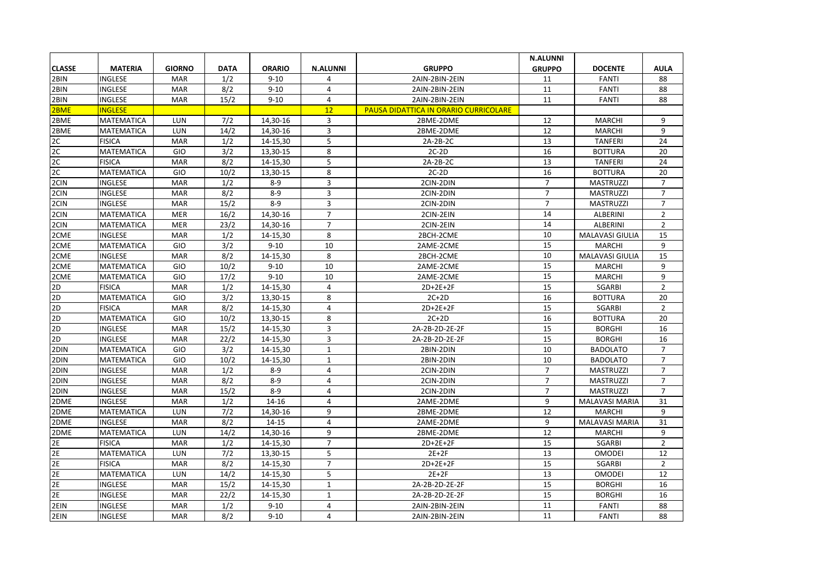|               |                   |               |             |               |                 |                                       | <b>N.ALUNNI</b> |                        |                |
|---------------|-------------------|---------------|-------------|---------------|-----------------|---------------------------------------|-----------------|------------------------|----------------|
| <b>CLASSE</b> | <b>MATERIA</b>    | <b>GIORNO</b> | <b>DATA</b> | <b>ORARIO</b> | <b>N.ALUNNI</b> | <b>GRUPPO</b>                         | <b>GRUPPO</b>   | <b>DOCENTE</b>         | <b>AULA</b>    |
| 2BIN          | INGLESE           | <b>MAR</b>    | 1/2         | $9 - 10$      | 4               | 2AIN-2BIN-2EIN                        | 11              | <b>FANTI</b>           | 88             |
| 2BIN          | <b>INGLESE</b>    | <b>MAR</b>    | 8/2         | $9 - 10$      | 4               | 2AIN-2BIN-2EIN                        | 11              | <b>FANTI</b>           | 88             |
| 2BIN          | INGLESE           | <b>MAR</b>    | 15/2        | $9 - 10$      | 4               | 2AIN-2BIN-2EIN                        | 11              | <b>FANTI</b>           | 88             |
| 2BME          | <b>INGLESE</b>    |               |             |               | 12              | PAUSA DIDATTICA IN ORARIO CURRICOLARE |                 |                        |                |
| 2BME          | <b>MATEMATICA</b> | LUN           | 7/2         | 14,30-16      | 3               | 2BME-2DME                             | 12              | <b>MARCHI</b>          | 9              |
| 2BME          | <b>MATEMATICA</b> | LUN           | 14/2        | 14,30-16      | 3               | 2BME-2DME                             | 12              | <b>MARCHI</b>          | 9              |
| 2C            | <b>FISICA</b>     | <b>MAR</b>    | 1/2         | 14-15,30      | 5               | 2A-2B-2C                              | 13              | <b>TANFERI</b>         | 24             |
| 2C            | <b>MATEMATICA</b> | <b>GIO</b>    | 3/2         | 13,30-15      | 8               | $2C-2D$                               | 16              | <b>BOTTURA</b>         | 20             |
| 2C            | <b>FISICA</b>     | MAR           | 8/2         | 14-15,30      | 5               | 2A-2B-2C                              | 13              | <b>TANFERI</b>         | 24             |
| 2C            | MATEMATICA        | GIO           | 10/2        | 13,30-15      | 8               | $2C-2D$                               | 16              | <b>BOTTURA</b>         | 20             |
| 2CIN          | INGLESE           | <b>MAR</b>    | 1/2         | $8 - 9$       | 3               | 2CIN-2DIN                             | $\overline{7}$  | <b>MASTRUZZI</b>       | $\overline{7}$ |
| 2CIN          | INGLESE           | <b>MAR</b>    | 8/2         | $8 - 9$       | 3               | 2CIN-2DIN                             | $\overline{7}$  | <b>MASTRUZZI</b>       | $\overline{7}$ |
| 2CIN          | <b>INGLESE</b>    | <b>MAR</b>    | 15/2        | $8 - 9$       | 3               | 2CIN-2DIN                             | $\overline{7}$  | <b>MASTRUZZI</b>       | $\overline{7}$ |
| 2CIN          | <b>MATEMATICA</b> | <b>MER</b>    | 16/2        | 14,30-16      | $\overline{7}$  | 2CIN-2EIN                             | 14              | <b>ALBERINI</b>        | $\overline{2}$ |
| 2CIN          | <b>MATEMATICA</b> | <b>MER</b>    | 23/2        | 14,30-16      | $\overline{7}$  | 2CIN-2EIN                             | 14              | <b>ALBERINI</b>        | $\overline{2}$ |
| 2CME          | <b>INGLESE</b>    | <b>MAR</b>    | 1/2         | 14-15,30      | 8               | 2BCH-2CME                             | 10              | <b>MALAVASI GIULIA</b> | 15             |
| 2CME          | <b>MATEMATICA</b> | GIO           | 3/2         | $9 - 10$      | 10              | 2AME-2CME                             | 15              | <b>MARCHI</b>          | 9              |
| 2CME          | <b>INGLESE</b>    | MAR           | 8/2         | 14-15,30      | 8               | 2BCH-2CME                             | 10              | <b>MALAVASI GIULIA</b> | 15             |
| 2CME          | <b>MATEMATICA</b> | GIO           | 10/2        | $9 - 10$      | 10              | 2AME-2CME                             | 15              | <b>MARCHI</b>          | 9              |
| 2CME          | <b>MATEMATICA</b> | GIO           | 17/2        | $9 - 10$      | 10              | 2AME-2CME                             | 15              | <b>MARCHI</b>          | 9              |
| 2D            | <b>FISICA</b>     | MAR           | 1/2         | 14-15,30      | 4               | 2D+2E+2F                              | 15              | <b>SGARBI</b>          | $\overline{2}$ |
| 2D            | <b>MATEMATICA</b> | <b>GIO</b>    | 3/2         | 13,30-15      | 8               | $2C+2D$                               | 16              | <b>BOTTURA</b>         | 20             |
| 2D            | <b>FISICA</b>     | <b>MAR</b>    | 8/2         | 14-15,30      | 4               | 2D+2E+2F                              | 15              | <b>SGARBI</b>          | $\overline{2}$ |
| 2D            | <b>MATEMATICA</b> | GIO           | 10/2        | 13,30-15      | 8               | $2C+2D$                               | 16              | <b>BOTTURA</b>         | 20             |
| 2D            | INGLESE           | <b>MAR</b>    | 15/2        | 14-15,30      | 3               | 2A-2B-2D-2E-2F                        | 15              | <b>BORGHI</b>          | 16             |
| 2D            | <b>INGLESE</b>    | <b>MAR</b>    | 22/2        | 14-15,30      | 3               | 2A-2B-2D-2E-2F                        | 15              | <b>BORGHI</b>          | 16             |
| 2DIN          | <b>MATEMATICA</b> | GIO           | 3/2         | 14-15,30      | $\mathbf{1}$    | 2BIN-2DIN                             | 10              | <b>BADOLATO</b>        | $\overline{7}$ |
| 2DIN          | MATEMATICA        | GIO           | 10/2        | 14-15,30      | $\mathbf{1}$    | 2BIN-2DIN                             | 10              | <b>BADOLATO</b>        | $\overline{7}$ |
| 2DIN          | INGLESE           | <b>MAR</b>    | 1/2         | $8 - 9$       | 4               | 2CIN-2DIN                             | $\overline{7}$  | <b>MASTRUZZI</b>       | $\overline{7}$ |
| 2DIN          | INGLESE           | <b>MAR</b>    | 8/2         | $8 - 9$       | 4               | 2CIN-2DIN                             | $\overline{7}$  | <b>MASTRUZZI</b>       | $\overline{7}$ |
| 2DIN          | INGLESE           | <b>MAR</b>    | 15/2        | $8-9$         | 4               | 2CIN-2DIN                             | $\overline{7}$  | <b>MASTRUZZI</b>       | $\overline{7}$ |
| 2DME          | <b>INGLESE</b>    | <b>MAR</b>    | 1/2         | $14 - 16$     | 4               | 2AME-2DME                             | 9               | <b>MALAVASI MARIA</b>  | 31             |
| 2DME          | <b>MATEMATICA</b> | <b>LUN</b>    | 7/2         | 14,30-16      | 9               | 2BME-2DME                             | 12              | <b>MARCHI</b>          | 9              |
| 2DME          | <b>INGLESE</b>    | <b>MAR</b>    | 8/2         | 14-15         | 4               | 2AME-2DME                             | 9               | <b>MALAVASI MARIA</b>  | 31             |
| 2DME          | <b>MATEMATICA</b> | <b>LUN</b>    | 14/2        | 14.30-16      | 9               | 2BME-2DME                             | 12              | <b>MARCHI</b>          | 9              |
| 2E            | <b>FISICA</b>     | <b>MAR</b>    | 1/2         | 14-15,30      | 7               | 2D+2E+2F                              | 15              | <b>SGARBI</b>          | $\overline{2}$ |
| 2E            | MATEMATICA        | <b>LUN</b>    | 7/2         | 13,30-15      | 5               | $2E+2F$                               | 13              | <b>OMODEI</b>          | 12             |
| 2E            | <b>FISICA</b>     | <b>MAR</b>    | 8/2         | 14-15,30      | $\overline{7}$  | $2D+2E+2F$                            | 15              | <b>SGARBI</b>          | $\overline{2}$ |
| 2E            | <b>MATEMATICA</b> | LUN           | 14/2        | 14-15,30      | 5               | $2E+2F$                               | 13              | <b>OMODEI</b>          | 12             |
| 2E            | <b>INGLESE</b>    | <b>MAR</b>    | 15/2        | 14-15,30      | $\mathbf{1}$    | 2A-2B-2D-2E-2F                        | 15              | <b>BORGHI</b>          | 16             |
| 2E            | INGLESE           | <b>MAR</b>    | 22/2        | 14-15,30      | $\mathbf{1}$    | 2A-2B-2D-2E-2F                        | 15              | <b>BORGHI</b>          | 16             |
| 2EIN          | INGLESE           | <b>MAR</b>    | 1/2         | $9 - 10$      | 4               | 2AIN-2BIN-2EIN                        | 11              | <b>FANTI</b>           | 88             |
| 2EIN          | INGLESE           | <b>MAR</b>    | 8/2         | $9 - 10$      | 4               | 2AIN-2BIN-2EIN                        | 11              | <b>FANTI</b>           | 88             |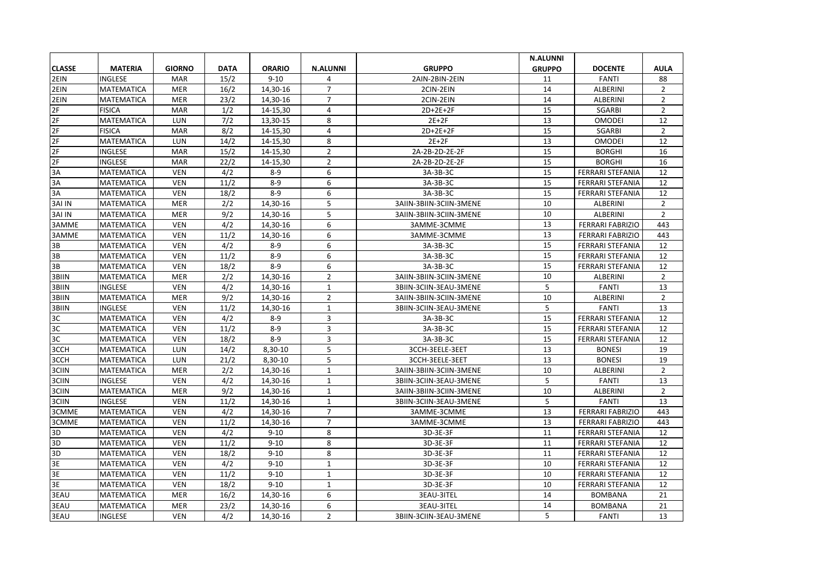|               |                   |               |             |               |                 |                         | <b>N.ALUNNI</b> |                         |                |
|---------------|-------------------|---------------|-------------|---------------|-----------------|-------------------------|-----------------|-------------------------|----------------|
| <b>CLASSE</b> | <b>MATERIA</b>    | <b>GIORNO</b> | <b>DATA</b> | <b>ORARIO</b> | <b>N.ALUNNI</b> | <b>GRUPPO</b>           | <b>GRUPPO</b>   | <b>DOCENTE</b>          | <b>AULA</b>    |
| 2EIN          | <b>INGLESE</b>    | <b>MAR</b>    | 15/2        | $9 - 10$      | 4               | 2AIN-2BIN-2EIN          | 11              | <b>FANTI</b>            | 88             |
| 2EIN          | <b>MATEMATICA</b> | <b>MER</b>    | 16/2        | 14.30-16      | $\overline{7}$  | 2CIN-2EIN               | 14              | <b>ALBERINI</b>         | $\overline{2}$ |
| 2EIN          | <b>MATEMATICA</b> | <b>MER</b>    | 23/2        | 14,30-16      | $\overline{7}$  | 2CIN-2EIN               | 14              | <b>ALBERINI</b>         | $\overline{2}$ |
| 2F            | <b>FISICA</b>     | <b>MAR</b>    | 1/2         | 14-15,30      | 4               | 2D+2E+2F                | 15              | SGARBI                  | $\overline{2}$ |
| 2F            | <b>MATEMATICA</b> | LUN           | 7/2         | 13,30-15      | 8               | $2E+2F$                 | 13              | <b>OMODEI</b>           | 12             |
| 2F            | <b>FISICA</b>     | <b>MAR</b>    | 8/2         | 14-15,30      | 4               | 2D+2E+2F                | 15              | SGARBI                  | $\overline{2}$ |
| 2F            | MATEMATICA        | LUN           | 14/2        | 14-15,30      | 8               | $2E+2F$                 | 13              | <b>OMODEI</b>           | 12             |
| 2F            | <b>INGLESE</b>    | <b>MAR</b>    | 15/2        | 14-15.30      | $\overline{2}$  | 2A-2B-2D-2E-2F          | 15              | <b>BORGHI</b>           | 16             |
| 2F            | <b>INGLESE</b>    | <b>MAR</b>    | 22/2        | 14-15,30      | $\overline{2}$  | 2A-2B-2D-2E-2F          | 15              | <b>BORGHI</b>           | 16             |
| 3A            | <b>MATEMATICA</b> | <b>VEN</b>    | 4/2         | $8-9$         | 6               | 3A-3B-3C                | 15              | <b>FERRARI STEFANIA</b> | 12             |
| 3A            | <b>MATEMATICA</b> | <b>VEN</b>    | 11/2        | $8 - 9$       | 6               | 3A-3B-3C                | 15              | <b>FERRARI STEFANIA</b> | 12             |
| 3A            | <b>MATEMATICA</b> | <b>VEN</b>    | 18/2        | $8 - 9$       | 6               | 3A-3B-3C                | 15              | <b>FERRARI STEFANIA</b> | 12             |
| 3AI IN        | MATEMATICA        | <b>MER</b>    | 2/2         | 14.30-16      | 5               | 3AIIN-3BIIN-3CIIN-3MENE | 10              | ALBERINI                | $\overline{2}$ |
| 3AI IN        | MATEMATICA        | <b>MER</b>    | 9/2         | 14,30-16      | 5               | 3AIIN-3BIIN-3CIIN-3MENE | 10              | <b>ALBERINI</b>         | $\overline{2}$ |
| 3AMME         | <b>MATEMATICA</b> | <b>VEN</b>    | 4/2         | 14,30-16      | 6               | 3AMME-3CMME             | 13              | <b>FERRARI FABRIZIO</b> | 443            |
| 3AMME         | MATEMATICA        | <b>VEN</b>    | 11/2        | 14,30-16      | 6               | 3AMME-3CMME             | 13              | <b>FERRARI FABRIZIO</b> | 443            |
| 3B            | MATEMATICA        | <b>VEN</b>    | 4/2         | $8 - 9$       | 6               | 3A-3B-3C                | 15              | FERRARI STEFANIA        | 12             |
| 3B            | MATEMATICA        | <b>VEN</b>    | 11/2        | $8 - 9$       | 6               | 3A-3B-3C                | 15              | <b>FERRARI STEFANIA</b> | 12             |
| 3B            | MATEMATICA        | <b>VEN</b>    | 18/2        | $8-9$         | 6               | 3A-3B-3C                | 15              | <b>FERRARI STEFANIA</b> | 12             |
| 3BIIN         | MATEMATICA        | <b>MER</b>    | 2/2         | 14,30-16      | $\overline{2}$  | 3AIIN-3BIIN-3CIIN-3MENE | 10              | ALBERINI                | $\overline{2}$ |
| 3BIIN         | INGLESE           | <b>VEN</b>    | 4/2         | 14,30-16      | $\mathbf{1}$    | 3BIIN-3CIIN-3EAU-3MENE  | 5               | <b>FANTI</b>            | 13             |
| 3BIIN         | <b>MATEMATICA</b> | <b>MER</b>    | 9/2         | 14.30-16      | $\overline{2}$  | 3AIIN-3BIIN-3CIIN-3MENE | 10              | <b>ALBERINI</b>         | $\overline{2}$ |
| 3BIIN         | <b>INGLESE</b>    | <b>VEN</b>    | 11/2        | 14,30-16      | $\mathbf{1}$    | 3BIIN-3CIIN-3EAU-3MENE  | 5               | <b>FANTI</b>            | 13             |
| 3C            | <b>MATEMATICA</b> | <b>VEN</b>    | 4/2         | $8 - 9$       | 3               | 3A-3B-3C                | 15              | <b>FERRARI STEFANIA</b> | 12             |
| 3C            | <b>MATEMATICA</b> | <b>VEN</b>    | 11/2        | $8-9$         | 3               | 3A-3B-3C                | 15              | FERRARI STEFANIA        | 12             |
| 3C            | MATEMATICA        | <b>VEN</b>    | 18/2        | $8-9$         | 3               | 3A-3B-3C                | 15              | <b>FERRARI STEFANIA</b> | 12             |
| 3CCH          | <b>MATEMATICA</b> | LUN           | 14/2        | 8,30-10       | 5               | 3CCH-3EELE-3EET         | 13              | <b>BONESI</b>           | 19             |
| 3CCH          | MATEMATICA        | LUN           | 21/2        | 8,30-10       | 5               | 3CCH-3EELE-3EET         | 13              | <b>BONESI</b>           | 19             |
| 3CIIN         | <b>MATEMATICA</b> | <b>MER</b>    | 2/2         | 14,30-16      | $\mathbf{1}$    | 3AIIN-3BIIN-3CIIN-3MENE | 10              | <b>ALBERINI</b>         | $\overline{2}$ |
| 3CIIN         | <b>INGLESE</b>    | <b>VEN</b>    | 4/2         | 14,30-16      | $\mathbf{1}$    | 3BIIN-3CIIN-3EAU-3MENE  | 5               | <b>FANTI</b>            | 13             |
| 3CIIN         | <b>MATEMATICA</b> | <b>MER</b>    | 9/2         | 14,30-16      | $\mathbf{1}$    | 3AIIN-3BIIN-3CIIN-3MENE | 10              | <b>ALBERINI</b>         | $\overline{2}$ |
| 3CIIN         | <b>INGLESE</b>    | <b>VEN</b>    | 11/2        | 14,30-16      | $\mathbf{1}$    | 3BIIN-3CIIN-3EAU-3MENE  | 5               | <b>FANTI</b>            | 13             |
| 3CMME         | <b>MATEMATICA</b> | <b>VEN</b>    | 4/2         | 14,30-16      | $\overline{7}$  | 3AMME-3CMME             | 13              | <b>FERRARI FABRIZIO</b> | 443            |
| 3CMME         | MATEMATICA        | <b>VEN</b>    | 11/2        | 14,30-16      | $\overline{7}$  | 3AMME-3CMME             | 13              | <b>FERRARI FABRIZIO</b> | 443            |
| 3D            | <b>MATEMATICA</b> | <b>VEN</b>    | 4/2         | $9 - 10$      | 8               | 3D-3E-3F                | 11              | <b>FERRARI STEFANIA</b> | 12             |
| 3D            | <b>MATEMATICA</b> | <b>VEN</b>    | 11/2        | $9 - 10$      | 8               | 3D-3E-3F                | 11              | <b>FERRARI STEFANIA</b> | 12             |
| 3D            | <b>MATEMATICA</b> | <b>VEN</b>    | 18/2        | $9 - 10$      | 8               | 3D-3E-3F                | 11              | <b>FERRARI STEFANIA</b> | 12             |
| 3E            | <b>MATEMATICA</b> | <b>VEN</b>    | 4/2         | $9 - 10$      | $\mathbf{1}$    | 3D-3E-3F                | 10              | <b>FERRARI STEFANIA</b> | 12             |
| 3E            | <b>MATEMATICA</b> | <b>VEN</b>    | 11/2        | $9 - 10$      | $\mathbf{1}$    | 3D-3E-3F                | 10              | <b>FERRARI STEFANIA</b> | 12             |
| 3E            | MATEMATICA        | <b>VEN</b>    | 18/2        | $9 - 10$      | $\mathbf{1}$    | 3D-3E-3F                | 10              | FERRARI STEFANIA        | 12             |
| 3EAU          | MATEMATICA        | <b>MER</b>    | 16/2        | 14,30-16      | 6               | 3EAU-3ITEL              | 14              | <b>BOMBANA</b>          | 21             |
| 3EAU          | MATEMATICA        | <b>MER</b>    | 23/2        | 14,30-16      | 6               | 3EAU-3ITEL              | 14              | <b>BOMBANA</b>          | 21             |
| 3EAU          | INGLESE           | <b>VEN</b>    | 4/2         | 14,30-16      | $\overline{2}$  | 3BIIN-3CIIN-3EAU-3MENE  | 5               | <b>FANTI</b>            | 13             |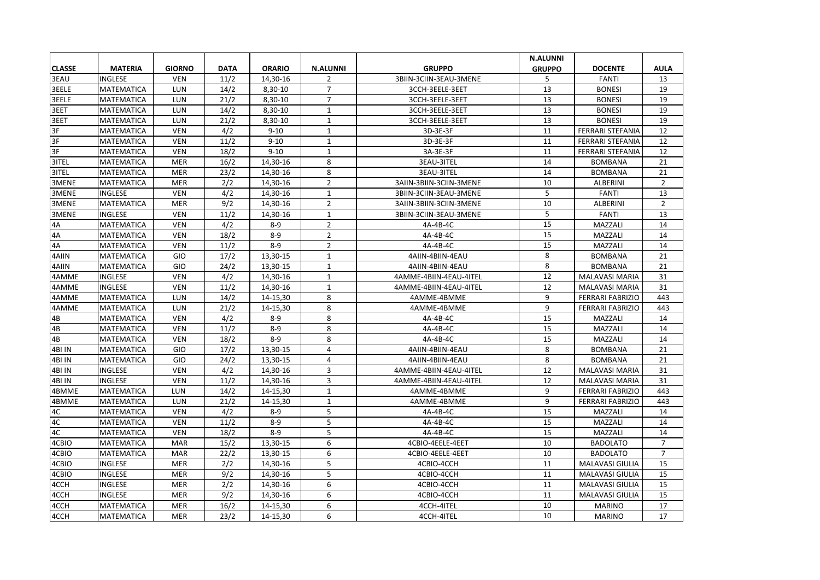|               |                   |               |             |               |                 |                         | <b>N.ALUNNI</b> |                         |                |
|---------------|-------------------|---------------|-------------|---------------|-----------------|-------------------------|-----------------|-------------------------|----------------|
| <b>CLASSE</b> | <b>MATERIA</b>    | <b>GIORNO</b> | <b>DATA</b> | <b>ORARIO</b> | <b>N.ALUNNI</b> | <b>GRUPPO</b>           | <b>GRUPPO</b>   | <b>DOCENTE</b>          | <b>AULA</b>    |
| 3EAU          | <b>INGLESE</b>    | <b>VEN</b>    | 11/2        | 14,30-16      | 2               | 3BIIN-3CIIN-3EAU-3MENE  | 5               | <b>FANTI</b>            | 13             |
| 3EELE         | <b>MATEMATICA</b> | LUN           | 14/2        | $8.30 - 10$   | $\overline{7}$  | 3CCH-3EELE-3EET         | 13              | <b>BONESI</b>           | 19             |
| 3EELE         | <b>MATEMATICA</b> | LUN           | 21/2        | 8,30-10       | $\overline{7}$  | 3CCH-3EELE-3EET         | 13              | <b>BONESI</b>           | 19             |
| 3EET          | MATEMATICA        | LUN           | 14/2        | 8,30-10       | $\mathbf{1}$    | 3CCH-3EELE-3EET         | 13              | <b>BONESI</b>           | 19             |
| 3EET          | <b>MATEMATICA</b> | LUN           | 21/2        | 8,30-10       | $\mathbf{1}$    | 3CCH-3EELE-3EET         | 13              | <b>BONESI</b>           | 19             |
| 3F            | MATEMATICA        | <b>VEN</b>    | 4/2         | $9 - 10$      | $\mathbf{1}$    | 3D-3E-3F                | 11              | <b>FERRARI STEFANIA</b> | 12             |
| 3F            | MATEMATICA        | <b>VEN</b>    | 11/2        | $9 - 10$      | 1               | 3D-3E-3F                | 11              | FERRARI STEFANIA        | 12             |
| 3F            | MATEMATICA        | <b>VEN</b>    | 18/2        | $9 - 10$      | $\mathbf{1}$    | 3A-3E-3F                | 11              | FERRARI STEFANIA        | 12             |
| 3ITEL         | MATEMATICA        | <b>MER</b>    | 16/2        | 14,30-16      | 8               | 3EAU-3ITEL              | 14              | <b>BOMBANA</b>          | 21             |
| 3ITEL         | MATEMATICA        | <b>MER</b>    | 23/2        | 14,30-16      | 8               | 3EAU-3ITEL              | 14              | <b>BOMBANA</b>          | 21             |
| 3MENE         | <b>MATEMATICA</b> | <b>MER</b>    | 2/2         | 14,30-16      | $\overline{2}$  | 3AIIN-3BIIN-3CIIN-3MENE | 10              | <b>ALBERINI</b>         | $\overline{2}$ |
| 3MENE         | <b>INGLESE</b>    | <b>VEN</b>    | 4/2         | 14.30-16      | $\mathbf 1$     | 3BIIN-3CIIN-3EAU-3MENE  | 5               | <b>FANTI</b>            | 13             |
| 3MENE         | <b>MATEMATICA</b> | <b>MER</b>    | 9/2         | 14.30-16      | $\overline{2}$  | 3AIIN-3BIIN-3CIIN-3MENE | 10              | <b>ALBERINI</b>         | $\overline{2}$ |
| 3MENE         | <b>INGLESE</b>    | <b>VEN</b>    | 11/2        | 14,30-16      | $\mathbf{1}$    | 3BIIN-3CIIN-3EAU-3MENE  | 5               | <b>FANTI</b>            | 13             |
| 4A            | <b>MATEMATICA</b> | <b>VEN</b>    | 4/2         | $8-9$         | $\overline{2}$  | 4A-4B-4C                | 15              | MAZZALI                 | 14             |
| 4A            | <b>MATEMATICA</b> | <b>VEN</b>    | 18/2        | $8-9$         | $\overline{2}$  | 4A-4B-4C                | 15              | MAZZALI                 | 14             |
| 4A            | <b>MATEMATICA</b> | <b>VEN</b>    | 11/2        | $8 - 9$       | $\overline{2}$  | 4A-4B-4C                | 15              | MAZZALI                 | 14             |
| 4AIIN         | <b>MATEMATICA</b> | GIO           | 17/2        | 13,30-15      | $\mathbf{1}$    | 4AIIN-4BIIN-4EAU        | 8               | <b>BOMBANA</b>          | 21             |
| 4AIIN         | MATEMATICA        | GIO           | 24/2        | 13,30-15      | $\mathbf{1}$    | 4AIIN-4BIIN-4EAU        | 8               | <b>BOMBANA</b>          | 21             |
| 4AMME         | <b>INGLESE</b>    | <b>VEN</b>    | 4/2         | 14,30-16      | $\mathbf{1}$    | 4AMME-4BIIN-4EAU-4ITEL  | 12              | <b>MALAVASI MARIA</b>   | 31             |
| 4AMME         | <b>INGLESE</b>    | <b>VEN</b>    | 11/2        | 14,30-16      | $\mathbf{1}$    | 4AMME-4BIIN-4EAU-4ITEL  | 12              | <b>MALAVASI MARIA</b>   | 31             |
| 4AMME         | MATEMATICA        | LUN           | 14/2        | 14-15,30      | 8               | 4AMME-4BMME             | 9               | <b>FERRARI FABRIZIO</b> | 443            |
| 4AMME         | MATEMATICA        | LUN           | 21/2        | 14-15,30      | 8               | 4AMME-4BMME             | 9               | <b>FERRARI FABRIZIO</b> | 443            |
| 4B            | MATEMATICA        | <b>VEN</b>    | 4/2         | $8 - 9$       | 8               | 4A-4B-4C                | 15              | MAZZALI                 | 14             |
| 4B            | MATEMATICA        | <b>VEN</b>    | 11/2        | $8-9$         | 8               | 4A-4B-4C                | 15              | MAZZALI                 | 14             |
| 4B            | MATEMATICA        | <b>VEN</b>    | 18/2        | $8 - 9$       | 8               | 4A-4B-4C                | 15              | MAZZALI                 | 14             |
| 4BI IN        | <b>MATEMATICA</b> | GIO           | 17/2        | 13,30-15      | 4               | 4AIIN-4BIIN-4EAU        | 8               | <b>BOMBANA</b>          | 21             |
| 4BI IN        | MATEMATICA        | GIO           | 24/2        | 13,30-15      | 4               | 4AIIN-4BIIN-4EAU        | 8               | <b>BOMBANA</b>          | 21             |
| 4BI IN        | INGLESE           | <b>VEN</b>    | 4/2         | 14,30-16      | 3               | 4AMME-4BIIN-4EAU-4ITEL  | 12              | <b>MALAVASI MARIA</b>   | 31             |
| 4BI IN        | INGLESE           | <b>VEN</b>    | 11/2        | 14,30-16      | 3               | 4AMME-4BIIN-4EAU-4ITEL  | 12              | <b>MALAVASI MARIA</b>   | 31             |
| 4BMME         | MATEMATICA        | LUN           | 14/2        | 14-15,30      | $\mathbf 1$     | 4AMME-4BMME             | 9               | <b>FERRARI FABRIZIO</b> | 443            |
| 4BMME         | <b>MATEMATICA</b> | LUN           | 21/2        | 14-15.30      | $\mathbf{1}$    | 4AMME-4BMME             | 9               | <b>FERRARI FABRIZIO</b> | 443            |
| 4C            | <b>MATEMATICA</b> | <b>VEN</b>    | 4/2         | $8 - 9$       | 5               | 4A-4B-4C                | 15              | MAZZALI                 | 14             |
| 4C            | <b>MATEMATICA</b> | <b>VEN</b>    | 11/2        | $8 - 9$       | 5               | 4A-4B-4C                | 15              | MAZZALI                 | 14             |
| 4C            | <b>MATEMATICA</b> | <b>VEN</b>    | 18/2        | $8 - 9$       | 5               | 4A-4B-4C                | 15              | MAZZALI                 | 14             |
| 4CBIO         | MATEMATICA        | <b>MAR</b>    | 15/2        | 13,30-15      | 6               | 4CBIO-4EELE-4EET        | 10              | <b>BADOLATO</b>         | $\overline{7}$ |
| 4CBIO         | <b>MATEMATICA</b> | <b>MAR</b>    | 22/2        | 13,30-15      | 6               | 4CBIO-4EELE-4EET        | 10              | <b>BADOLATO</b>         | $\overline{7}$ |
| 4CBIO         | <b>INGLESE</b>    | <b>MER</b>    | 2/2         | 14.30-16      | 5               | 4CBIO-4CCH              | 11              | <b>MALAVASI GIULIA</b>  | 15             |
| 4CBIO         | INGLESE           | <b>MER</b>    | 9/2         | 14,30-16      | 5               | 4CBIO-4CCH              | 11              | <b>MALAVASI GIULIA</b>  | 15             |
| 4CCH          | <b>INGLESE</b>    | <b>MER</b>    | 2/2         | 14,30-16      | 6               | 4CBIO-4CCH              | 11              | MALAVASI GIULIA         | 15             |
| 4CCH          | <b>INGLESE</b>    | <b>MER</b>    | 9/2         | 14,30-16      | 6               | 4CBIO-4CCH              | 11              | <b>MALAVASI GIULIA</b>  | 15             |
| 4CCH          | MATEMATICA        | <b>MER</b>    | 16/2        | 14-15,30      | 6               | 4CCH-4ITEL              | 10              | <b>MARINO</b>           | 17             |
| 4CCH          | MATEMATICA        | <b>MER</b>    | 23/2        | 14-15,30      | 6               | 4CCH-4ITEL              | 10              | <b>MARINO</b>           | 17             |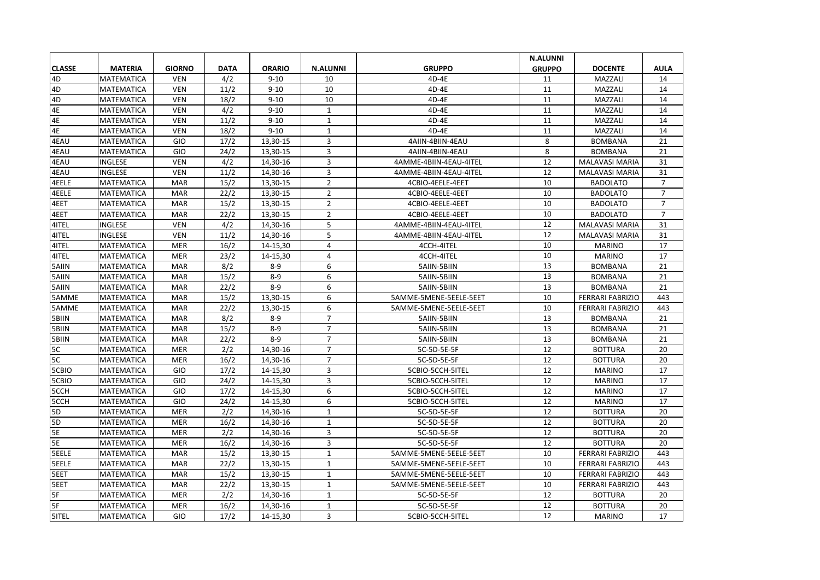|               |                   |               |             |               |                 |                        | <b>N.ALUNNI</b> |                         |                |
|---------------|-------------------|---------------|-------------|---------------|-----------------|------------------------|-----------------|-------------------------|----------------|
| <b>CLASSE</b> | <b>MATERIA</b>    | <b>GIORNO</b> | <b>DATA</b> | <b>ORARIO</b> | <b>N.ALUNNI</b> | <b>GRUPPO</b>          | <b>GRUPPO</b>   | <b>DOCENTE</b>          | <b>AULA</b>    |
| 4D            | MATEMATICA        | <b>VEN</b>    | 4/2         | $9 - 10$      | 10              | 4D-4E                  | 11              | MAZZALI                 | 14             |
| 4D            | <b>MATEMATICA</b> | <b>VEN</b>    | 11/2        | $9 - 10$      | 10              | 4D-4E                  | 11              | MAZZALI                 | 14             |
| 4D            | MATEMATICA        | <b>VEN</b>    | 18/2        | $9 - 10$      | 10              | 4D-4E                  | 11              | MAZZALI                 | 14             |
| 4E            | MATEMATICA        | <b>VEN</b>    | 4/2         | $9 - 10$      | $\mathbf{1}$    | 4D-4E                  | 11              | MAZZALI                 | 14             |
| 4E            | <b>MATEMATICA</b> | <b>VEN</b>    | 11/2        | $9 - 10$      | $\mathbf{1}$    | 4D-4E                  | 11              | MAZZALI                 | 14             |
| 4E            | MATEMATICA        | <b>VEN</b>    | 18/2        | $9 - 10$      | $\mathbf{1}$    | 4D-4E                  | 11              | MAZZALI                 | 14             |
| 4EAU          | MATEMATICA        | GIO           | 17/2        | 13,30-15      | 3               | 4AIIN-4BIIN-4EAU       | 8               | <b>BOMBANA</b>          | 21             |
| 4EAU          | MATEMATICA        | GIO           | 24/2        | 13,30-15      | 3               | 4AIIN-4BIIN-4EAU       | 8               | <b>BOMBANA</b>          | 21             |
| 4EAU          | <b>INGLESE</b>    | <b>VEN</b>    | 4/2         | 14,30-16      | 3               | 4AMME-4BIIN-4EAU-4ITEL | 12              | <b>MALAVASI MARIA</b>   | 31             |
| 4EAU          | <b>INGLESE</b>    | VEN           | 11/2        | 14,30-16      | 3               | 4AMME-4BIIN-4EAU-4ITEL | 12              | <b>MALAVASI MARIA</b>   | 31             |
| 4EELE         | <b>MATEMATICA</b> | <b>MAR</b>    | 15/2        | 13,30-15      | $\overline{2}$  | 4CBIO-4EELE-4EET       | 10              | <b>BADOLATO</b>         | $\overline{7}$ |
| 4EELE         | <b>MATEMATICA</b> | <b>MAR</b>    | 22/2        | 13,30-15      | $\overline{2}$  | 4CBIO-4EELE-4EET       | 10              | <b>BADOLATO</b>         | $\overline{7}$ |
| 4EET          | <b>MATEMATICA</b> | <b>MAR</b>    | 15/2        | 13.30-15      | $\overline{2}$  | 4CBIO-4EELE-4EET       | 10              | <b>BADOLATO</b>         | $\overline{7}$ |
| 4EET          | <b>MATEMATICA</b> | <b>MAR</b>    | 22/2        | 13,30-15      | $\overline{2}$  | 4CBIO-4EELE-4EET       | 10              | <b>BADOLATO</b>         | $\overline{7}$ |
| 4ITEL         | <b>INGLESE</b>    | <b>VEN</b>    | 4/2         | 14,30-16      | 5               | 4AMME-4BIIN-4EAU-4ITEL | 12              | <b>MALAVASI MARIA</b>   | 31             |
| 4ITEL         | <b>INGLESE</b>    | <b>VEN</b>    | 11/2        | 14,30-16      | 5               | 4AMME-4BIIN-4EAU-4ITEL | 12              | <b>MALAVASI MARIA</b>   | 31             |
| 4ITEL         | <b>MATEMATICA</b> | <b>MER</b>    | 16/2        | 14-15,30      | $\overline{4}$  | 4CCH-4ITEL             | 10              | <b>MARINO</b>           | 17             |
| 4ITEL         | MATEMATICA        | <b>MER</b>    | 23/2        | 14-15,30      | 4               | 4CCH-4ITEL             | 10              | <b>MARINO</b>           | 17             |
| 5AIIN         | MATEMATICA        | <b>MAR</b>    | 8/2         | $8-9$         | 6               | 5AIIN-5BIIN            | 13              | <b>BOMBANA</b>          | 21             |
| 5AIIN         | MATEMATICA        | <b>MAR</b>    | 15/2        | $8 - 9$       | 6               | 5AIIN-5BIIN            | 13              | <b>BOMBANA</b>          | 21             |
| 5AIIN         | <b>MATEMATICA</b> | <b>MAR</b>    | 22/2        | $8 - 9$       | 6               | 5AIIN-5BIIN            | 13              | <b>BOMBANA</b>          | 21             |
| 5AMME         | MATEMATICA        | <b>MAR</b>    | 15/2        | 13,30-15      | 6               | 5AMME-5MENE-5EELE-5EET | 10              | <b>FERRARI FABRIZIO</b> | 443            |
| 5AMME         | <b>MATEMATICA</b> | <b>MAR</b>    | 22/2        | 13,30-15      | 6               | 5AMME-5MENE-5EELE-5EET | 10              | <b>FERRARI FABRIZIO</b> | 443            |
| 5BIIN         | <b>MATEMATICA</b> | <b>MAR</b>    | 8/2         | $8 - 9$       | $\overline{7}$  | 5AIIN-5BIIN            | 13              | <b>BOMBANA</b>          | 21             |
| 5BIIN         | MATEMATICA        | <b>MAR</b>    | 15/2        | $8-9$         | $\overline{7}$  | 5AIIN-5BIIN            | 13              | <b>BOMBANA</b>          | 21             |
| 5BIIN         | MATEMATICA        | <b>MAR</b>    | 22/2        | $8 - 9$       | $\overline{7}$  | 5AIIN-5BIIN            | 13              | <b>BOMBANA</b>          | 21             |
| 5C            | MATEMATICA        | <b>MER</b>    | 2/2         | 14,30-16      | $\overline{7}$  | 5C-5D-5E-5F            | 12              | <b>BOTTURA</b>          | 20             |
| 5C            | MATEMATICA        | MER           | 16/2        | 14,30-16      | $\overline{7}$  | 5C-5D-5E-5F            | 12              | <b>BOTTURA</b>          | 20             |
| 5CBIO         | <b>MATEMATICA</b> | GIO           | 17/2        | 14-15,30      | 3               | 5CBIO-5CCH-5ITEL       | 12              | <b>MARINO</b>           | 17             |
| 5CBIO         | MATEMATICA        | GIO           | 24/2        | 14-15,30      | 3               | 5CBIO-5CCH-5ITEL       | 12              | <b>MARINO</b>           | 17             |
| 5CCH          | MATEMATICA        | GIO           | 17/2        | 14-15,30      | 6               | 5CBIO-5CCH-5ITEL       | 12              | <b>MARINO</b>           | 17             |
| 5CCH          | <b>MATEMATICA</b> | <b>GIO</b>    | 24/2        | 14-15.30      | 6               | 5CBIO-5CCH-5ITEL       | 12              | <b>MARINO</b>           | 17             |
| <b>5D</b>     | MATEMATICA        | <b>MER</b>    | 2/2         | 14,30-16      | $\mathbf{1}$    | 5C-5D-5E-5F            | 12              | <b>BOTTURA</b>          | 20             |
| 5D            | <b>MATEMATICA</b> | <b>MER</b>    | 16/2        | 14,30-16      | $\mathbf{1}$    | 5C-5D-5E-5F            | 12              | <b>BOTTURA</b>          | 20             |
| <b>5E</b>     | <b>MATEMATICA</b> | <b>MER</b>    | 2/2         | 14.30-16      | $\overline{3}$  | 5C-5D-5E-5F            | 12              | <b>BOTTURA</b>          | 20             |
| <b>5E</b>     | MATEMATICA        | <b>MER</b>    | 16/2        | 14,30-16      | 3               | 5C-5D-5E-5F            | 12              | <b>BOTTURA</b>          | 20             |
| <b>SEELE</b>  | MATEMATICA        | <b>MAR</b>    | 15/2        | 13,30-15      | $\mathbf{1}$    | 5AMME-5MENE-5EELE-5EET | 10              | <b>FERRARI FABRIZIO</b> | 443            |
| <b>SEELE</b>  | <b>MATEMATICA</b> | <b>MAR</b>    | 22/2        | 13.30-15      | $\mathbf{1}$    | 5AMME-5MENE-5EELE-5EET | 10              | <b>FERRARI FABRIZIO</b> | 443            |
| 5EET          | MATEMATICA        | <b>MAR</b>    | 15/2        | 13,30-15      | $\mathbf{1}$    | 5AMME-5MENE-5EELE-5EET | 10              | <b>FERRARI FABRIZIO</b> | 443            |
| 5EET          | MATEMATICA        | <b>MAR</b>    | 22/2        | 13,30-15      | $\mathbf{1}$    | 5AMME-5MENE-5EELE-5EET | 10              | <b>FERRARI FABRIZIO</b> | 443            |
| 5F            | MATEMATICA        | <b>MER</b>    | 2/2         | 14,30-16      | $\mathbf{1}$    | 5C-5D-5E-5F            | 12              | <b>BOTTURA</b>          | 20             |
| 5F            | MATEMATICA        | <b>MER</b>    | 16/2        | 14,30-16      | $\mathbf{1}$    | 5C-5D-5E-5F            | 12              | <b>BOTTURA</b>          | 20             |
| <b>5ITEL</b>  | MATEMATICA        | GIO           | 17/2        | 14-15,30      | 3               | 5CBIO-5CCH-5ITEL       | 12              | <b>MARINO</b>           | 17             |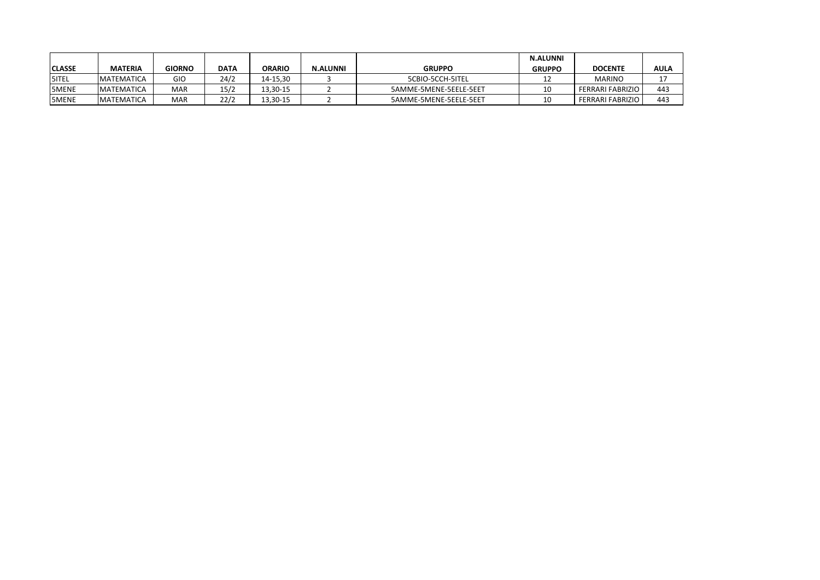|               |                   |               |             |               |                 |                        | <b>N.ALUNNI</b> |                         |             |
|---------------|-------------------|---------------|-------------|---------------|-----------------|------------------------|-----------------|-------------------------|-------------|
| <b>CLASSE</b> | <b>MATERIA</b>    | <b>GIORNO</b> | <b>DATA</b> | <b>ORARIO</b> | <b>N.ALUNNI</b> | <b>GRUPPO</b>          | <b>GRUPPO</b>   | <b>DOCENTE</b>          | <b>AULA</b> |
| <b>5ITEL</b>  | <b>MATEMATICA</b> | GIO           | 24/2        | 14-15,30      |                 | 5CBIO-5CCH-5ITEL       |                 | <b>MARINO</b>           |             |
| 5MENE         | <b>MATEMATICA</b> | <b>MAR</b>    | 15/2        | 13,30-15      |                 | 5AMME-5MENE-5EELE-5EET | 10              | <b>FERRARI FABRIZIO</b> | 443         |
| 5MENE         | <b>MATEMATICA</b> | <b>MAR</b>    | 22/2        | 13.30-15      |                 | 5AMME-5MENE-5EELE-5EET | 10              | <b>FERRARI FABRIZIO</b> | 443         |